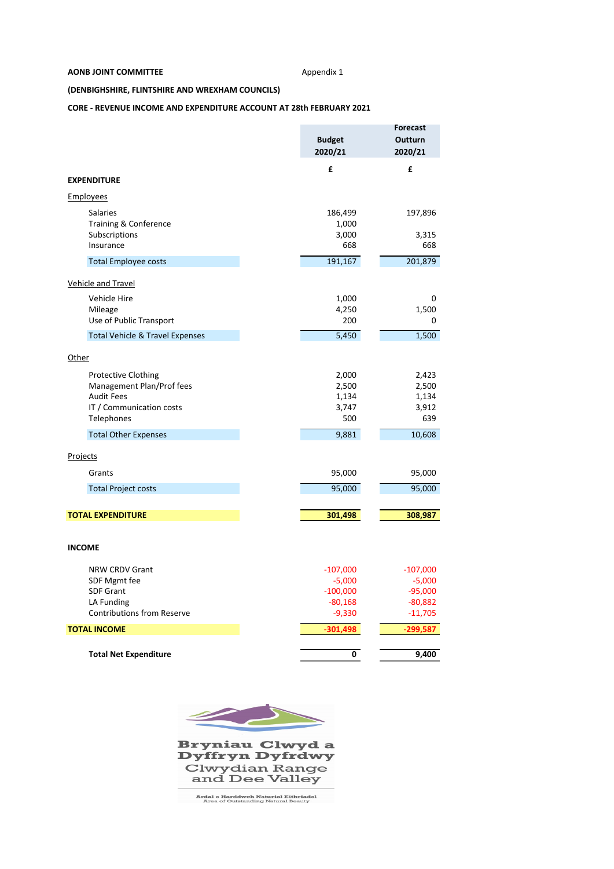#### **AONB JOINT COMMITTEE** Appendix 1

### **(DENBIGHSHIRE, FLINTSHIRE AND WREXHAM COUNCILS)**

# **CORE ‐ REVENUE INCOME AND EXPENDITURE ACCOUNT AT 28th FEBRUARY 2021**

|                                            |               | <b>Forecast</b> |
|--------------------------------------------|---------------|-----------------|
|                                            | <b>Budget</b> | Outturn         |
|                                            | 2020/21       | 2020/21         |
|                                            | £             | £               |
| <b>EXPENDITURE</b>                         |               |                 |
| Employees                                  |               |                 |
| <b>Salaries</b>                            | 186,499       | 197,896         |
| Training & Conference                      | 1,000         |                 |
| Subscriptions                              | 3,000         | 3,315           |
| Insurance                                  | 668           | 668             |
| <b>Total Employee costs</b>                | 191,167       | 201,879         |
| <b>Vehicle and Travel</b>                  |               |                 |
| Vehicle Hire                               | 1,000         | 0               |
| Mileage                                    | 4,250         | 1,500           |
| Use of Public Transport                    | 200           | 0               |
| <b>Total Vehicle &amp; Travel Expenses</b> | 5,450         | 1,500           |
| Other                                      |               |                 |
| <b>Protective Clothing</b>                 | 2,000         | 2,423           |
| Management Plan/Prof fees                  | 2,500         | 2,500           |
| <b>Audit Fees</b>                          | 1,134         | 1,134           |
| IT / Communication costs                   | 3,747         | 3,912           |
| Telephones                                 | 500           | 639             |
| <b>Total Other Expenses</b>                | 9,881         | 10,608          |
| Projects                                   |               |                 |
| Grants                                     | 95,000        | 95,000          |
| <b>Total Project costs</b>                 | 95,000        | 95,000          |
|                                            |               |                 |
| <b>TOTAL EXPENDITURE</b>                   | 301,498       | 308,987         |
| <b>INCOME</b>                              |               |                 |
|                                            |               |                 |
| <b>NRW CRDV Grant</b>                      | $-107,000$    | $-107,000$      |
| SDF Mgmt fee                               | $-5,000$      | $-5,000$        |
| <b>SDF Grant</b>                           | $-100,000$    | $-95,000$       |
| LA Funding                                 | $-80,168$     | $-80,882$       |
| <b>Contributions from Reserve</b>          | $-9,330$      | $-11,705$       |
| <b>TOTAL INCOME</b>                        | $-301,498$    | -299,587        |
| <b>Total Net Expenditure</b>               | 0             | 9,400           |
|                                            |               |                 |



**Bryniau Clwyd a<br>Dyffryn Dyfrdwy** Clwydian Range<br>and Dee Valley

Ardal o Harddwch Naturiol Eithriadol<br>Area of Outstanding Natural Beauty